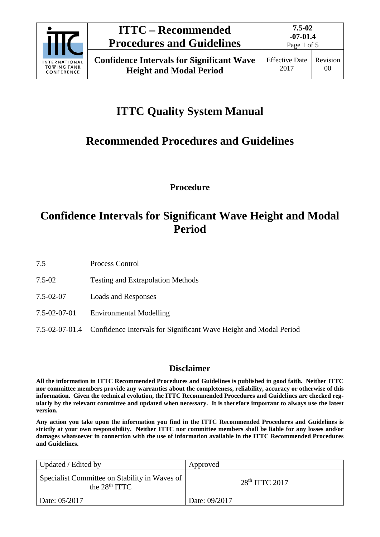

# **ITTC – Recommended Procedures and Guidelines**

# **ITTC Quality System Manual**

# **Recommended Procedures and Guidelines**

**Procedure**

### **Confidence Intervals for Significant Wave Height and Modal Period**

7.5 Process Control

- 7.5-02 Testing and Extrapolation Methods
- 7.5-02-07 Loads and Responses
- 7.5-02-07-01 Environmental Modelling
- 7.5-02-07-01.4 Confidence Intervals for Significant Wave Height and Modal Period

### **Disclaimer**

**All the information in ITTC Recommended Procedures and Guidelines is published in good faith. Neither ITTC nor committee members provide any warranties about the completeness, reliability, accuracy or otherwise of this information. Given the technical evolution, the ITTC Recommended Procedures and Guidelines are checked regularly by the relevant committee and updated when necessary. It is therefore important to always use the latest version.**

**Any action you take upon the information you find in the ITTC Recommended Procedures and Guidelines is strictly at your own responsibility. Neither ITTC nor committee members shall be liable for any losses and/or damages whatsoever in connection with the use of information available in the ITTC Recommended Procedures and Guidelines.**

| Updated / Edited by                                              | Approved           |
|------------------------------------------------------------------|--------------------|
| Specialist Committee on Stability in Waves of<br>the $28th ITTC$ | $28th$ ITTC $2017$ |
| Date: 05/2017                                                    | Date: 09/2017      |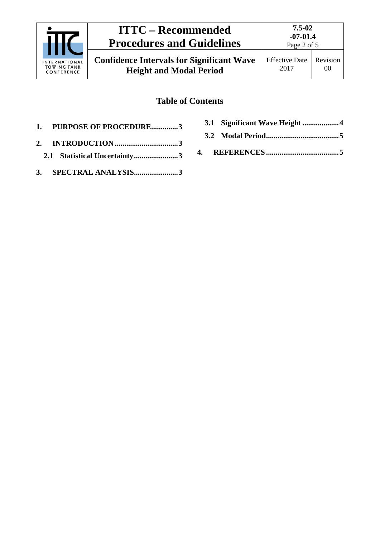

# **ITTC – Recommended Procedures and Guidelines**

### **Table of Contents**

- **1. [PURPOSE OF PROCEDURE..............3](#page-2-0)**
- **2. INTRODUCTION [.................................3](#page-2-1) 2.1 [Statistical Uncertainty.......................3](#page-2-2)**
- **3. [SPECTRAL ANALYSIS.......................3](#page-2-3)**
- **3.1 [Significant Wave Height](#page-3-0) ...................4**
- **3.2 [Modal Period......................................5](#page-4-0)**
- **4. REFERENCES [......................................5](#page-4-1)**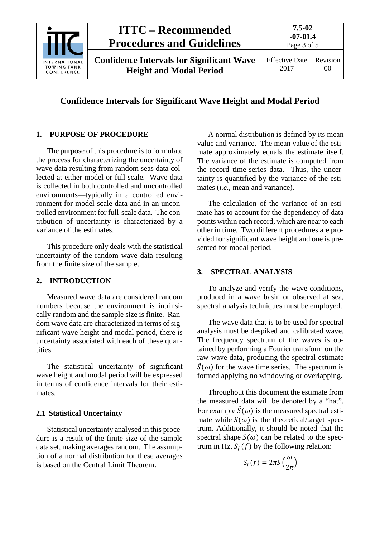

#### **Confidence Intervals for Significant Wave Height and Modal Period**

#### <span id="page-2-0"></span>**1. PURPOSE OF PROCEDURE**

The purpose of this procedure is to formulate the process for characterizing the uncertainty of wave data resulting from random seas data collected at either model or full scale. Wave data is collected in both controlled and uncontrolled environments—typically in a controlled environment for model-scale data and in an uncontrolled environment for full-scale data. The contribution of uncertainty is characterized by a variance of the estimates.

This procedure only deals with the statistical uncertainty of the random wave data resulting from the finite size of the sample.

#### <span id="page-2-1"></span>**2. INTRODUCTION**

Measured wave data are considered random numbers because the environment is intrinsically random and the sample size is finite. Random wave data are characterized in terms of significant wave height and modal period, there is uncertainty associated with each of these quantities.

The statistical uncertainty of significant wave height and modal period will be expressed in terms of confidence intervals for their estimates.

#### <span id="page-2-2"></span>**2.1 Statistical Uncertainty**

Statistical uncertainty analysed in this procedure is a result of the finite size of the sample data set, making averages random. The assumption of a normal distribution for these averages is based on the Central Limit Theorem.

A normal distribution is defined by its mean value and variance. The mean value of the estimate approximately equals the estimate itself. The variance of the estimate is computed from the record time-series data. Thus, the uncertainty is quantified by the variance of the estimates (*i.e*., mean and variance).

The calculation of the variance of an estimate has to account for the dependency of data points within each record, which are near to each other in time. Two different procedures are provided for significant wave height and one is presented for modal period.

#### <span id="page-2-3"></span>**3. SPECTRAL ANALYSIS**

To analyze and verify the wave conditions, produced in a wave basin or observed at sea, spectral analysis techniques must be employed.

The wave data that is to be used for spectral analysis must be despiked and calibrated wave. The frequency spectrum of the waves is obtained by performing a Fourier transform on the raw wave data, producing the spectral estimate  $\hat{S}(\omega)$  for the wave time series. The spectrum is formed applying no windowing or overlapping.

Throughout this document the estimate from the measured data will be denoted by a "hat". For example  $\hat{S}(\omega)$  is the measured spectral estimate while  $S(\omega)$  is the theoretical/target spectrum. Additionally, it should be noted that the spectral shape  $S(\omega)$  can be related to the spectrum in Hz,  $S_f(f)$  by the following relation:

$$
S_f(f) = 2\pi S \left(\frac{\omega}{2\pi}\right)
$$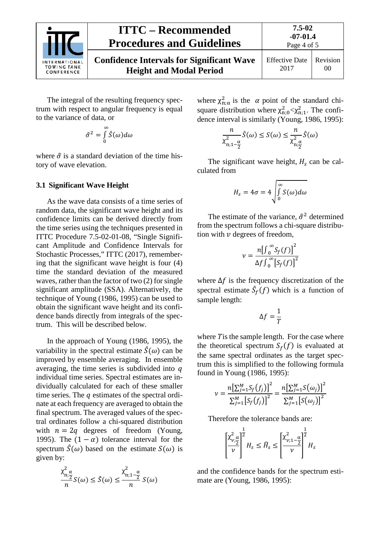

Page 4 of 5

The integral of the resulting frequency spectrum with respect to angular frequency is equal to the variance of data, or

$$
\hat{\sigma}^2 = \int_0^\infty \hat{S}(\omega) d\omega
$$

where  $\hat{\sigma}$  is a standard deviation of the time history of wave elevation.

#### <span id="page-3-0"></span>**3.1 Significant Wave Height**

As the wave data consists of a time series of random data, the significant wave height and its confidence limits can be derived directly from the time series using the techniques presented in ITTC Procedure 7.5-02-01-08, "Single Significant Amplitude and Confidence Intervals for Stochastic Processes," ITTC (2017), remembering that the significant wave height is four (4) time the standard deviation of the measured waves, rather than the factor of two (2) for single significant amplitude (SSA). Alternatively, the technique of Young (1986, 1995) can be used to obtain the significant wave height and its confidence bands directly from integrals of the spectrum. This will be described below.

In the approach of Young (1986, 1995), the variability in the spectral estimate  $\hat{S}(\omega)$  can be improved by ensemble averaging. In ensemble averaging, the time series is subdivided into  $q$ individual time series. Spectral estimates are individually calculated for each of these smaller time series. The  $q$  estimates of the spectral ordinate at each frequency are averaged to obtain the final spectrum. The averaged values of the spectral ordinates follow a chi-squared distribution with  $n = 2q$  degrees of freedom (Young, 1995). The  $(1 - \alpha)$  tolerance interval for the spectrum  $\hat{S}(\omega)$  based on the estimate  $S(\omega)$  is given by:

$$
\frac{\chi_{\mathrm{n};\frac{\alpha}{2}}^{2}}{n}S(\omega) \leq \hat{S}(\omega) \leq \frac{\chi_{\mathrm{n};1-\frac{\alpha}{2}}^{2}}{n}S(\omega)
$$

where  $\chi^2_{n;\alpha}$  is the  $\alpha$  point of the standard chisquare distribution where  $\chi^2_{n;0} < \chi^2_{n;1}$ . The confidence interval is similarly (Young, 1986, 1995):

$$
\frac{n}{\chi^2_{n;1-\frac{\alpha}{2}}}\hat{S}(\omega) \le S(\omega) \le \frac{n}{\chi^2_{n;\frac{\alpha}{2}}}\hat{S}(\omega)
$$

The significant wave height,  $H_s$  can be calculated from

$$
H_{S} = 4\sigma = 4\sqrt{\int_{0}^{\infty} S(\omega) d\omega}
$$

The estimate of the variance,  $\hat{\sigma}^2$  determined from the spectrum follows a chi-square distribution with  $\nu$  degrees of freedom.

$$
v = \frac{n[\int_0^\infty S_f(f)]^2}{\Delta f \int_0^\infty [S_f(f)]^2}
$$

where  $\Delta f$  is the frequency discretization of the spectral estimate  $S_f(f)$  which is a function of sample length:

$$
\Delta f = \frac{1}{T}
$$

where  $T$  is the sample length. For the case where the theoretical spectrum  $S_f(f)$  is evaluated at the same spectral ordinates as the target spectrum this is simplified to the following formula found in Young (1986, 1995):

$$
\nu = \frac{n\left[\sum_{j=1}^{M} S_f(f_j)\right]^2}{\sum_{j=1}^{M} \left[S_f(f_j)\right]^2} = \frac{n\left[\sum_{j=1}^{M} S(\omega_j)\right]^2}{\sum_{j=1}^{M} \left[S(\omega_j)\right]^2}
$$

Therefore the tolerance bands are:

$$
\left[\frac{\chi^2_{\nu;\underline{\alpha}}}{\nu}\right]^{\frac{1}{2}}H_s \leq \widehat{H}_s \leq \left[\frac{\chi^2_{\nu;1-\underline{\alpha}}}{\nu}\right]^{\frac{1}{2}}H_s
$$

and the confidence bands for the spectrum estimate are (Young, 1986, 1995):